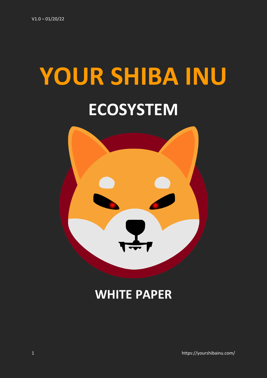# **YOUR SHIBA INU ECOSYSTEM**



# **WHITE PAPER**

1 https://yourshibainu.com/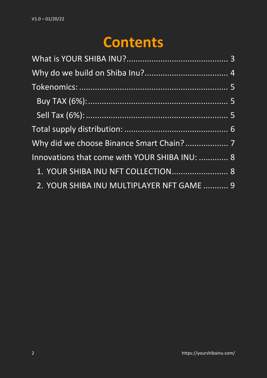# **Contents**

| Why did we choose Binance Smart Chain? 7      |  |
|-----------------------------------------------|--|
| Innovations that come with YOUR SHIBA INU:  8 |  |
| 1. YOUR SHIBA INU NFT COLLECTION 8            |  |
| 2. YOUR SHIBA INU MULTIPLAYER NFT GAME  9     |  |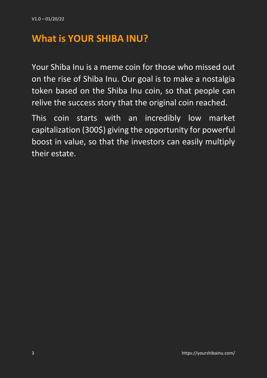#### <span id="page-2-0"></span>**What is YOUR SHIBA INU?**

Your Shiba Inu is a meme coin for those who missed out on the rise of Shiba Inu. Our goal is to make a nostalgia token based on the Shiba Inu coin, so that people can relive the success story that the original coin reached.

This coin starts with an incredibly low market capitalization (300\$) giving the opportunity for powerful boost in value, so that the investors can easily multiply their estate.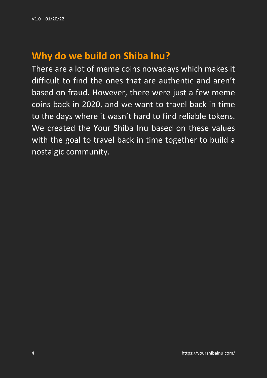# <span id="page-3-0"></span>**Why do we build on Shiba Inu?**

There are a lot of meme coins nowadays which makes it difficult to find the ones that are authentic and aren't based on fraud. However, there were just a few meme coins back in 2020, and we want to travel back in time to the days where it wasn't hard to find reliable tokens. We created the Your Shiba Inu based on these values with the goal to travel back in time together to build a nostalgic community.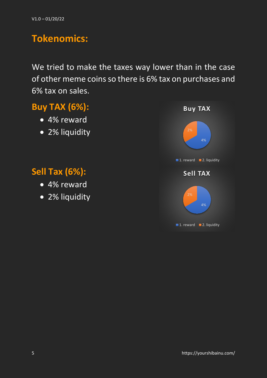## <span id="page-4-0"></span>**Tokenomics:**

We tried to make the taxes way lower than in the case of other meme coins so there is 6% tax on purchases and 6% tax on sales.

#### <span id="page-4-1"></span>**Buy TAX (6%):**

- 4% reward
- 2% liquidity

#### <span id="page-4-2"></span>**Sell Tax (6%):**

- 4% reward
- 2% liquidity

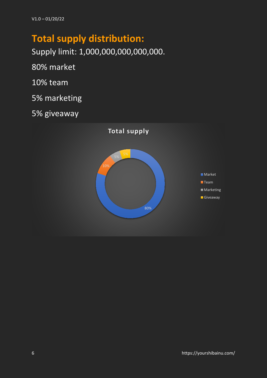# <span id="page-5-0"></span>**Total supply distribution:**

Supply limit: 1,000,000,000,000,000.

80% market

10% team

5% marketing

5% giveaway

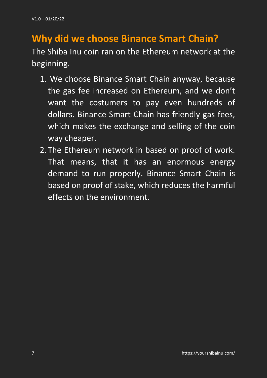# <span id="page-6-0"></span>**Why did we choose Binance Smart Chain?**

The Shiba Inu coin ran on the Ethereum network at the beginning.

- 1. We choose Binance Smart Chain anyway, because the gas fee increased on Ethereum, and we don't want the costumers to pay even hundreds of dollars. Binance Smart Chain has friendly gas fees, which makes the exchange and selling of the coin way cheaper.
- 2. The Ethereum network in based on proof of work. That means, that it has an enormous energy demand to run properly. Binance Smart Chain is based on proof of stake, which reduces the harmful effects on the environment.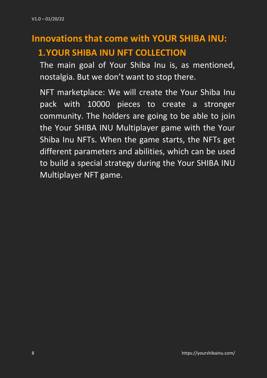# <span id="page-7-1"></span><span id="page-7-0"></span>**Innovations that come with YOUR SHIBA INU: 1.YOUR SHIBA INU NFT COLLECTION**

The main goal of Your Shiba Inu is, as mentioned, nostalgia. But we don't want to stop there.

NFT marketplace: We will create the Your Shiba Inu pack with 10000 pieces to create a stronger community. The holders are going to be able to join the Your SHIBA INU Multiplayer game with the Your Shiba Inu NFTs. When the game starts, the NFTs get different parameters and abilities, which can be used to build a special strategy during the Your SHIBA INU Multiplayer NFT game.